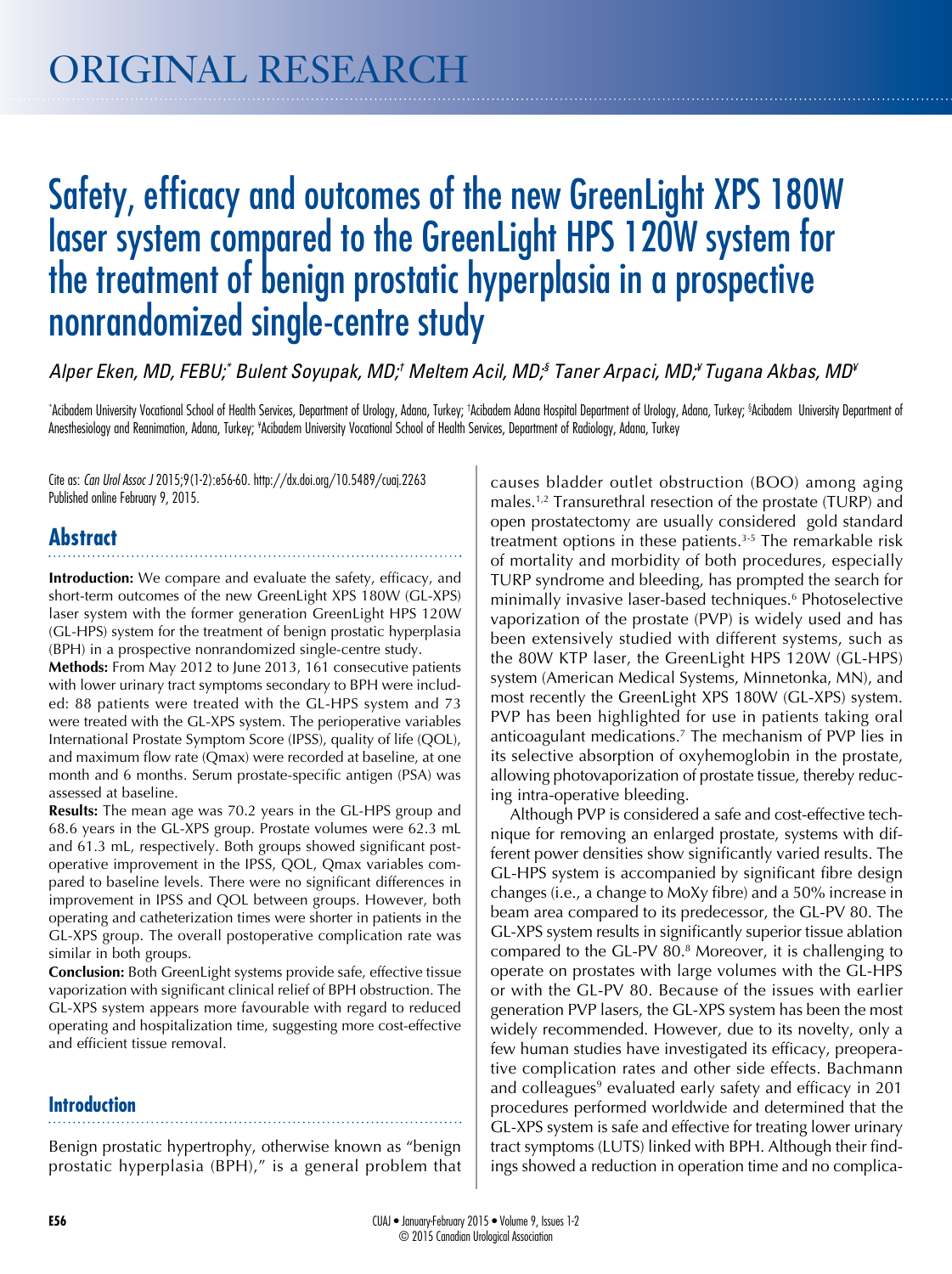# Safety, efficacy and outcomes of the new GreenLight XPS 180W laser system compared to the GreenLight HPS 120W system for the treatment of benign prostatic hyperplasia in a prospective nonrandomized single-centre study

*Alper Eken, MD, FEBU;\* Bulent Soyupak, MD;† Meltem Acil, MD;§ Taner Arpaci, MD;¥ Tugana Akbas, MD¥*

\*Acibadem University Vocational School of Health Services, Department of Urology, Adana, Turkey; †Acibadem Adana Hospital Department of Urology, Adana, Turkey; \$Acibadem University Department of Anesthesiology and Reanimation, Adana, Turkey; \*Acibadem University Vocational School of Health Services, Department of Radiology, Adana, Turkey

Cite as: *Can Urol Assoc J* 2015;9(1-2):e56-60. http://dx.doi.org/10.5489/cuaj.2263 Published online February 9, 2015.

# **Abstract**

**Introduction:** We compare and evaluate the safety, efficacy, and short-term outcomes of the new GreenLight XPS 180W (GL-XPS) laser system with the former generation GreenLight HPS 120W (GL-HPS) system for the treatment of benign prostatic hyperplasia (BPH) in a prospective nonrandomized single-centre study.

**Methods:** From May 2012 to June 2013, 161 consecutive patients with lower urinary tract symptoms secondary to BPH were included: 88 patients were treated with the GL-HPS system and 73 were treated with the GL-XPS system. The perioperative variables International Prostate Symptom Score (IPSS), quality of life (QOL), and maximum flow rate (Qmax) were recorded at baseline, at one month and 6 months. Serum prostate-specific antigen (PSA) was assessed at baseline.

**Results:** The mean age was 70.2 years in the GL-HPS group and 68.6 years in the GL-XPS group. Prostate volumes were 62.3 mL and 61.3 mL, respectively. Both groups showed significant postoperative improvement in the IPSS, QOL, Qmax variables compared to baseline levels. There were no significant differences in improvement in IPSS and QOL between groups. However, both operating and catheterization times were shorter in patients in the GL-XPS group. The overall postoperative complication rate was similar in both groups.

**Conclusion:** Both GreenLight systems provide safe, effective tissue vaporization with significant clinical relief of BPH obstruction. The GL-XPS system appears more favourable with regard to reduced operating and hospitalization time, suggesting more cost-effective and efficient tissue removal.

# **Introduction**

Benign prostatic hypertrophy, otherwise known as "benign prostatic hyperplasia (BPH)," is a general problem that

causes bladder outlet obstruction (BOO) among aging males.<sup>1,2</sup> Transurethral resection of the prostate (TURP) and open prostatectomy are usually considered gold standard treatment options in these patients.<sup>3-5</sup> The remarkable risk of mortality and morbidity of both procedures, especially TURP syndrome and bleeding, has prompted the search for minimally invasive laser-based techniques.6 Photoselective vaporization of the prostate (PVP) is widely used and has been extensively studied with different systems, such as the 80W KTP laser, the GreenLight HPS 120W (GL-HPS) system (American Medical Systems, Minnetonka, MN), and most recently the GreenLight XPS 180W (GL-XPS) system. PVP has been highlighted for use in patients taking oral anticoagulant medications.7 The mechanism of PVP lies in its selective absorption of oxyhemoglobin in the prostate, allowing photovaporization of prostate tissue, thereby reducing intra-operative bleeding.

Although PVP is considered a safe and cost-effective technique for removing an enlarged prostate, systems with different power densities show significantly varied results. The GL-HPS system is accompanied by significant fibre design changes (i.e., a change to MoXy fibre) and a 50% increase in beam area compared to its predecessor, the GL-PV 80. The GL-XPS system results in significantly superior tissue ablation compared to the GL-PV 80.<sup>8</sup> Moreover, it is challenging to operate on prostates with large volumes with the GL-HPS or with the GL-PV 80. Because of the issues with earlier generation PVP lasers, the GL-XPS system has been the most widely recommended. However, due to its novelty, only a few human studies have investigated its efficacy, preoperative complication rates and other side effects. Bachmann and colleagues<sup>9</sup> evaluated early safety and efficacy in 201 procedures performed worldwide and determined that the GL-XPS system is safe and effective for treating lower urinary tract symptoms (LUTS) linked with BPH. Although their findings showed a reduction in operation time and no complica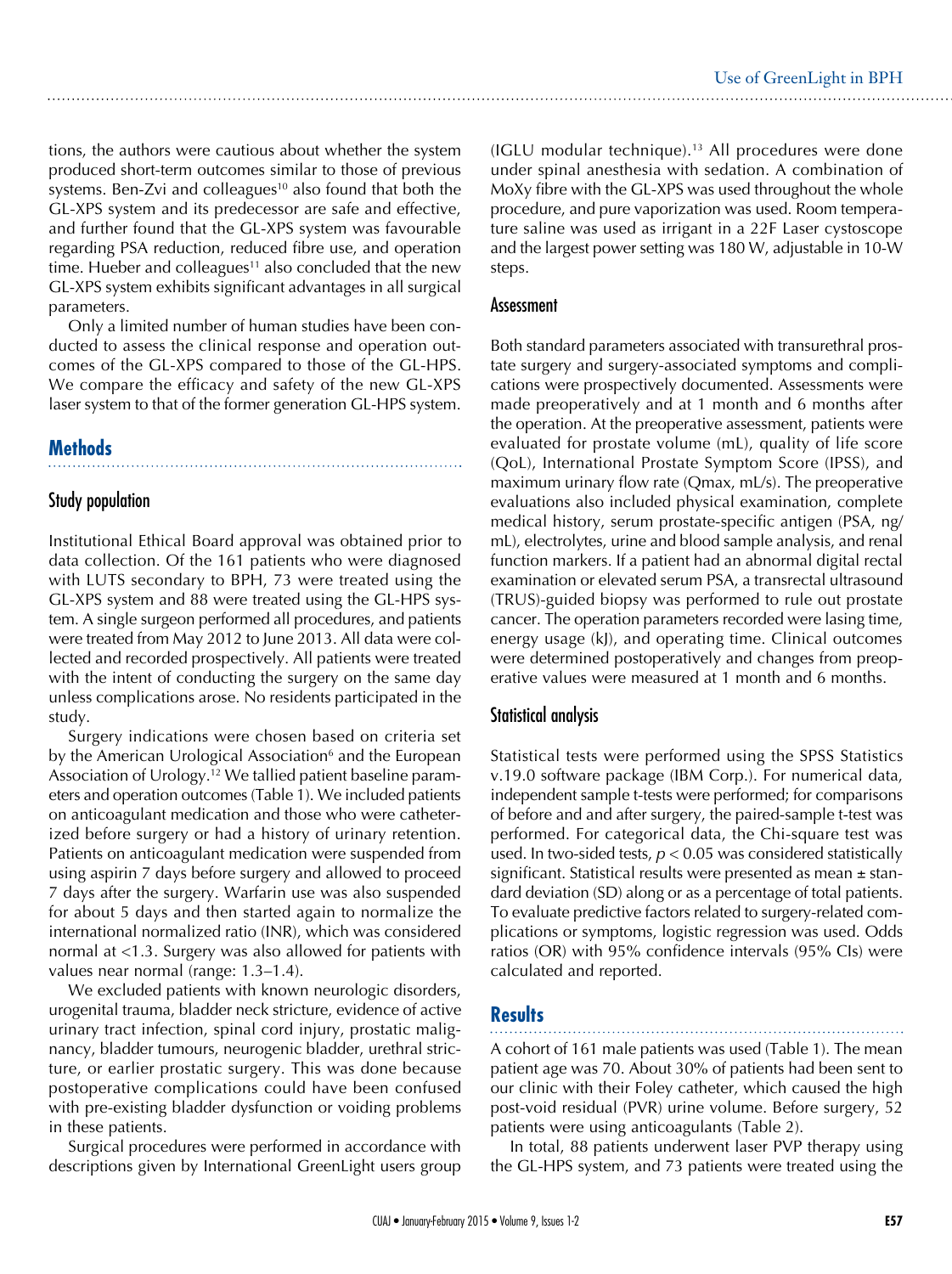tions, the authors were cautious about whether the system produced short-term outcomes similar to those of previous systems. Ben-Zvi and colleagues<sup>10</sup> also found that both the GL-XPS system and its predecessor are safe and effective, and further found that the GL-XPS system was favourable regarding PSA reduction, reduced fibre use, and operation time. Hueber and colleagues<sup>11</sup> also concluded that the new GL-XPS system exhibits significant advantages in all surgical parameters.

Only a limited number of human studies have been conducted to assess the clinical response and operation outcomes of the GL-XPS compared to those of the GL-HPS. We compare the efficacy and safety of the new GL-XPS laser system to that of the former generation GL-HPS system.

# **Methods**

## Study population

Institutional Ethical Board approval was obtained prior to data collection. Of the 161 patients who were diagnosed with LUTS secondary to BPH, 73 were treated using the GL-XPS system and 88 were treated using the GL-HPS system. A single surgeon performed all procedures, and patients were treated from May 2012 to June 2013. All data were collected and recorded prospectively. All patients were treated with the intent of conducting the surgery on the same day unless complications arose. No residents participated in the study.

Surgery indications were chosen based on criteria set by the American Urological Association<sup>6</sup> and the European Association of Urology.12 We tallied patient baseline parameters and operation outcomes (Table 1). We included patients on anticoagulant medication and those who were catheterized before surgery or had a history of urinary retention. Patients on anticoagulant medication were suspended from using aspirin 7 days before surgery and allowed to proceed 7 days after the surgery. Warfarin use was also suspended for about 5 days and then started again to normalize the international normalized ratio (INR), which was considered normal at <1.3. Surgery was also allowed for patients with values near normal (range: 1.3–1.4).

We excluded patients with known neurologic disorders, urogenital trauma, bladder neck stricture, evidence of active urinary tract infection, spinal cord injury, prostatic malignancy, bladder tumours, neurogenic bladder, urethral stricture, or earlier prostatic surgery. This was done because postoperative complications could have been confused with pre-existing bladder dysfunction or voiding problems in these patients.

Surgical procedures were performed in accordance with descriptions given by International GreenLight users group

(IGLU modular technique).<sup>13</sup> All procedures were done under spinal anesthesia with sedation. A combination of MoXy fibre with the GL-XPS was used throughout the whole procedure, and pure vaporization was used. Room temperature saline was used as irrigant in a 22F Laser cystoscope and the largest power setting was 180 W, adjustable in 10-W steps.

#### Assessment

Both standard parameters associated with transurethral prostate surgery and surgery-associated symptoms and complications were prospectively documented. Assessments were made preoperatively and at 1 month and 6 months after the operation. At the preoperative assessment, patients were evaluated for prostate volume (mL), quality of life score (QoL), International Prostate Symptom Score (IPSS), and maximum urinary flow rate (Qmax, mL/s). The preoperative evaluations also included physical examination, complete medical history, serum prostate-specific antigen (PSA, ng/ mL), electrolytes, urine and blood sample analysis, and renal function markers. If a patient had an abnormal digital rectal examination or elevated serum PSA, a transrectal ultrasound (TRUS)-guided biopsy was performed to rule out prostate cancer. The operation parameters recorded were lasing time, energy usage (kJ), and operating time. Clinical outcomes were determined postoperatively and changes from preoperative values were measured at 1 month and 6 months.

## Statistical analysis

Statistical tests were performed using the SPSS Statistics v.19.0 software package (IBM Corp.). For numerical data, independent sample t-tests were performed; for comparisons of before and and after surgery, the paired-sample t-test was performed. For categorical data, the Chi-square test was used. In two-sided tests, *p* < 0.05 was considered statistically significant. Statistical results were presented as mean  $\pm$  standard deviation (SD) along or as a percentage of total patients. To evaluate predictive factors related to surgery-related complications or symptoms, logistic regression was used. Odds ratios (OR) with 95% confidence intervals (95% CIs) were calculated and reported.

# **Results**

A cohort of 161 male patients was used (Table 1). The mean patient age was 70. About 30% of patients had been sent to our clinic with their Foley catheter, which caused the high post-void residual (PVR) urine volume. Before surgery, 52 patients were using anticoagulants (Table 2).

In total, 88 patients underwent laser PVP therapy using the GL-HPS system, and 73 patients were treated using the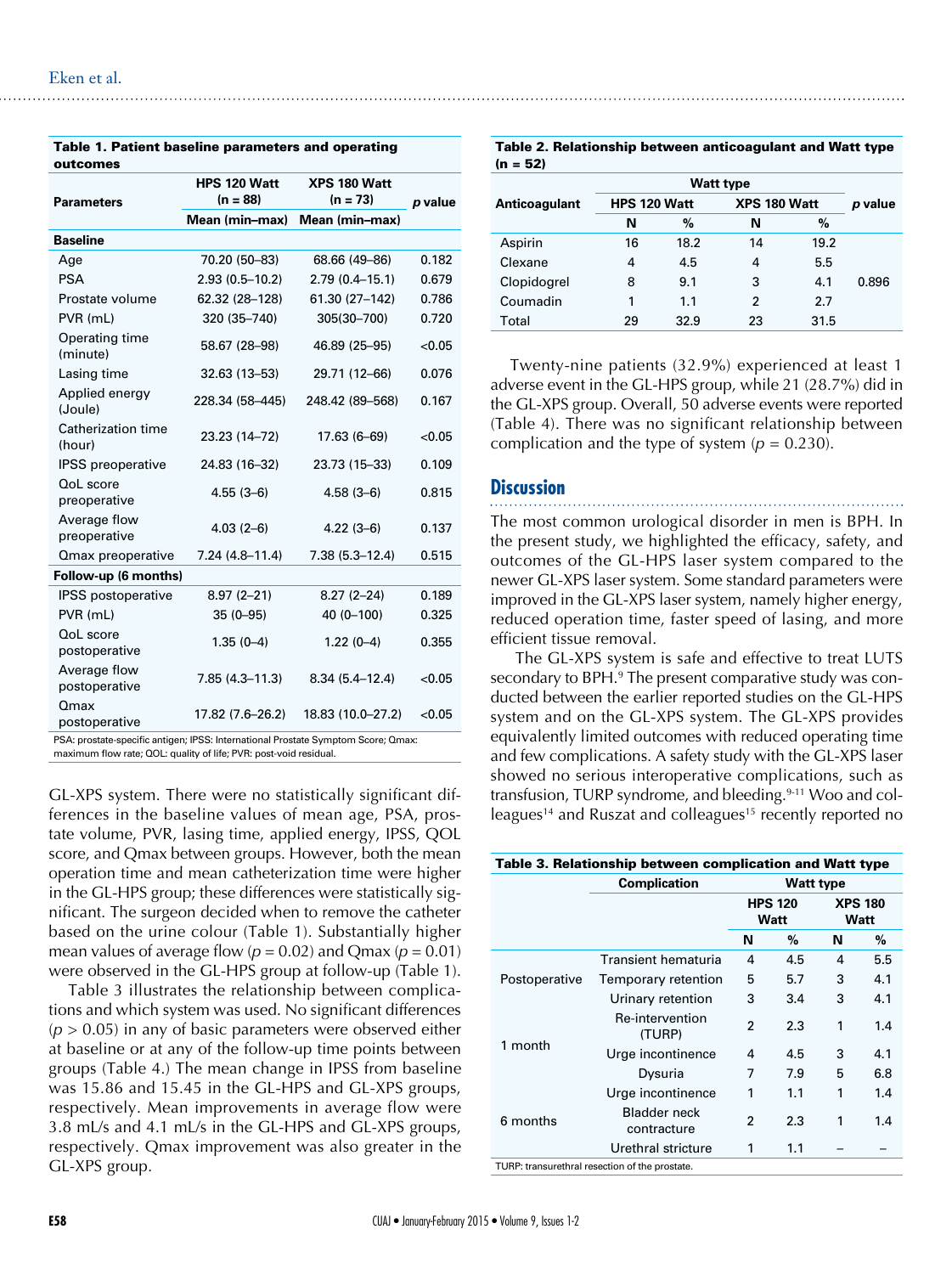| outcomes                                                                                                                                               |                            |                            |         |  |
|--------------------------------------------------------------------------------------------------------------------------------------------------------|----------------------------|----------------------------|---------|--|
| <b>Parameters</b>                                                                                                                                      | HPS 120 Watt<br>$(n = 88)$ | XPS 180 Watt<br>$(n = 73)$ | p value |  |
|                                                                                                                                                        | Mean (min-max)             | Mean (min-max)             |         |  |
| <b>Baseline</b>                                                                                                                                        |                            |                            |         |  |
| Age                                                                                                                                                    | 70.20 (50-83)              | 68.66 (49-86)              | 0.182   |  |
| <b>PSA</b>                                                                                                                                             | $2.93(0.5 - 10.2)$         | $2.79(0.4 - 15.1)$         | 0.679   |  |
| Prostate volume                                                                                                                                        | 62.32 (28-128)             | 61.30 (27-142)             | 0.786   |  |
| PVR (mL)                                                                                                                                               | 320 (35-740)               | 305(30-700)                | 0.720   |  |
| Operating time<br>(minute)                                                                                                                             | 58.67 (28-98)              | 46.89 (25-95)              | < 0.05  |  |
| Lasing time                                                                                                                                            | 32.63 (13-53)              | 29.71 (12-66)              | 0.076   |  |
| Applied energy<br>(Joule)                                                                                                                              | 228.34 (58-445)            | 248.42 (89-568)            | 0.167   |  |
| Catherization time<br>(hour)                                                                                                                           | 23.23 (14-72)              | 17.63 (6-69)               | < 0.05  |  |
| <b>IPSS</b> preoperative                                                                                                                               | 24.83 (16-32)              | 23.73 (15-33)              | 0.109   |  |
| QoL score<br>preoperative                                                                                                                              | $4.55(3-6)$                | $4.58(3-6)$                | 0.815   |  |
| Average flow<br>preoperative                                                                                                                           | $4.03(2-6)$                | $4.22(3-6)$                | 0.137   |  |
| <b>Qmax preoperative</b>                                                                                                                               | $7.24(4.8-11.4)$           | $7.38(5.3 - 12.4)$         | 0.515   |  |
| Follow-up (6 months)                                                                                                                                   |                            |                            |         |  |
| IPSS postoperative                                                                                                                                     | $8.97(2 - 21)$             | $8.27(2 - 24)$             | 0.189   |  |
| PVR (mL)                                                                                                                                               | $35(0-95)$                 | 40 (0-100)                 | 0.325   |  |
| QoL score<br>postoperative                                                                                                                             | $1.35(0-4)$                | $1.22(0-4)$                | 0.355   |  |
| Average flow<br>postoperative                                                                                                                          | $7.85(4.3 - 11.3)$         | $8.34(5.4 - 12.4)$         | < 0.05  |  |
| Omax<br>postoperative                                                                                                                                  | 17.82 (7.6-26.2)           | 18.83 (10.0-27.2)          | < 0.05  |  |
| PSA: prostate-specific antigen; IPSS: International Prostate Symptom Score; Qmax:<br>maximum flow rate; QOL: quality of life; PVR: post-void residual. |                            |                            |         |  |

Table 1. Patient baseline parameters and operating

GL-XPS system. There were no statistically significant differences in the baseline values of mean age, PSA, prostate volume, PVR, lasing time, applied energy, IPSS, QOL score, and Qmax between groups. However, both the mean operation time and mean catheterization time were higher in the GL-HPS group; these differences were statistically significant. The surgeon decided when to remove the catheter based on the urine colour (Table 1). Substantially higher mean values of average flow  $(p = 0.02)$  and Qmax  $(p = 0.01)$ were observed in the GL-HPS group at follow-up (Table 1).

Table 3 illustrates the relationship between complications and which system was used. No significant differences  $(p > 0.05)$  in any of basic parameters were observed either at baseline or at any of the follow-up time points between groups (Table 4.) The mean change in IPSS from baseline was 15.86 and 15.45 in the GL-HPS and GL-XPS groups, respectively. Mean improvements in average flow were 3.8 mL/s and 4.1 mL/s in the GL-HPS and GL-XPS groups, respectively. Qmax improvement was also greater in the GL-XPS group.

Table 2. Relationship between anticoagulant and Watt type  $(n = 52)$ 

| Anticoagulant | HPS 120 Watt |      | XPS 180 Watt | p value |       |
|---------------|--------------|------|--------------|---------|-------|
|               | N            | $\%$ | N            | $\%$    |       |
| Aspirin       | 16           | 18.2 | 14           | 19.2    |       |
| Clexane       | 4            | 4.5  | 4            | 5.5     |       |
| Clopidogrel   | 8            | 9.1  | 3            | 4.1     | 0.896 |
| Coumadin      | 1            | 1.1  | 2            | 2.7     |       |
| Total         | 29           | 32.9 | 23           | 31.5    |       |

Twenty-nine patients (32.9%) experienced at least 1 adverse event in the GL-HPS group, while 21 (28.7%) did in the GL-XPS group. Overall, 50 adverse events were reported (Table 4). There was no significant relationship between complication and the type of system  $(p = 0.230)$ .

#### **Discussion**

The most common urological disorder in men is BPH. In the present study, we highlighted the efficacy, safety, and outcomes of the GL-HPS laser system compared to the newer GL-XPS laser system. Some standard parameters were improved in the GL-XPS laser system, namely higher energy, reduced operation time, faster speed of lasing, and more efficient tissue removal.

 The GL-XPS system is safe and effective to treat LUTS secondary to BPH.<sup>9</sup> The present comparative study was conducted between the earlier reported studies on the GL-HPS system and on the GL-XPS system. The GL-XPS provides equivalently limited outcomes with reduced operating time and few complications. A safety study with the GL-XPS laser showed no serious interoperative complications, such as transfusion, TURP syndrome, and bleeding.<sup>9-11</sup> Woo and colleagues<sup>14</sup> and Ruszat and colleagues<sup>15</sup> recently reported no

| Table 3. Relationship between complication and Watt type |                                         |                        |      |                        |     |  |  |
|----------------------------------------------------------|-----------------------------------------|------------------------|------|------------------------|-----|--|--|
|                                                          | <b>Complication</b><br><b>Watt type</b> |                        |      |                        |     |  |  |
|                                                          |                                         | <b>HPS 120</b><br>Watt |      | <b>XPS 180</b><br>Watt |     |  |  |
|                                                          |                                         | N                      | $\%$ | N                      | %   |  |  |
| Postoperative                                            | Transient hematuria                     | 4                      | 4.5  | 4                      | 5.5 |  |  |
|                                                          | Temporary retention                     | 5                      | 5.7  | 3                      | 4.1 |  |  |
|                                                          | Urinary retention                       | 3                      | 3.4  | 3                      | 4.1 |  |  |
| 1 month                                                  | Re-intervention<br>(TURP)               | 2                      | 2.3  | 1                      | 1.4 |  |  |
|                                                          | Urge incontinence                       | 4                      | 4.5  | 3                      | 4.1 |  |  |
|                                                          | Dysuria                                 | 7                      | 7.9  | 5                      | 6.8 |  |  |
| 6 months                                                 | Urge incontinence                       | 1                      | 1.1  | 1                      | 1.4 |  |  |
|                                                          | <b>Bladder neck</b><br>contracture      | 2                      | 2.3  | 1                      | 1.4 |  |  |
|                                                          | Urethral stricture                      | 1                      | 1.1  |                        |     |  |  |
| TURP: transurethral resection of the prostate.           |                                         |                        |      |                        |     |  |  |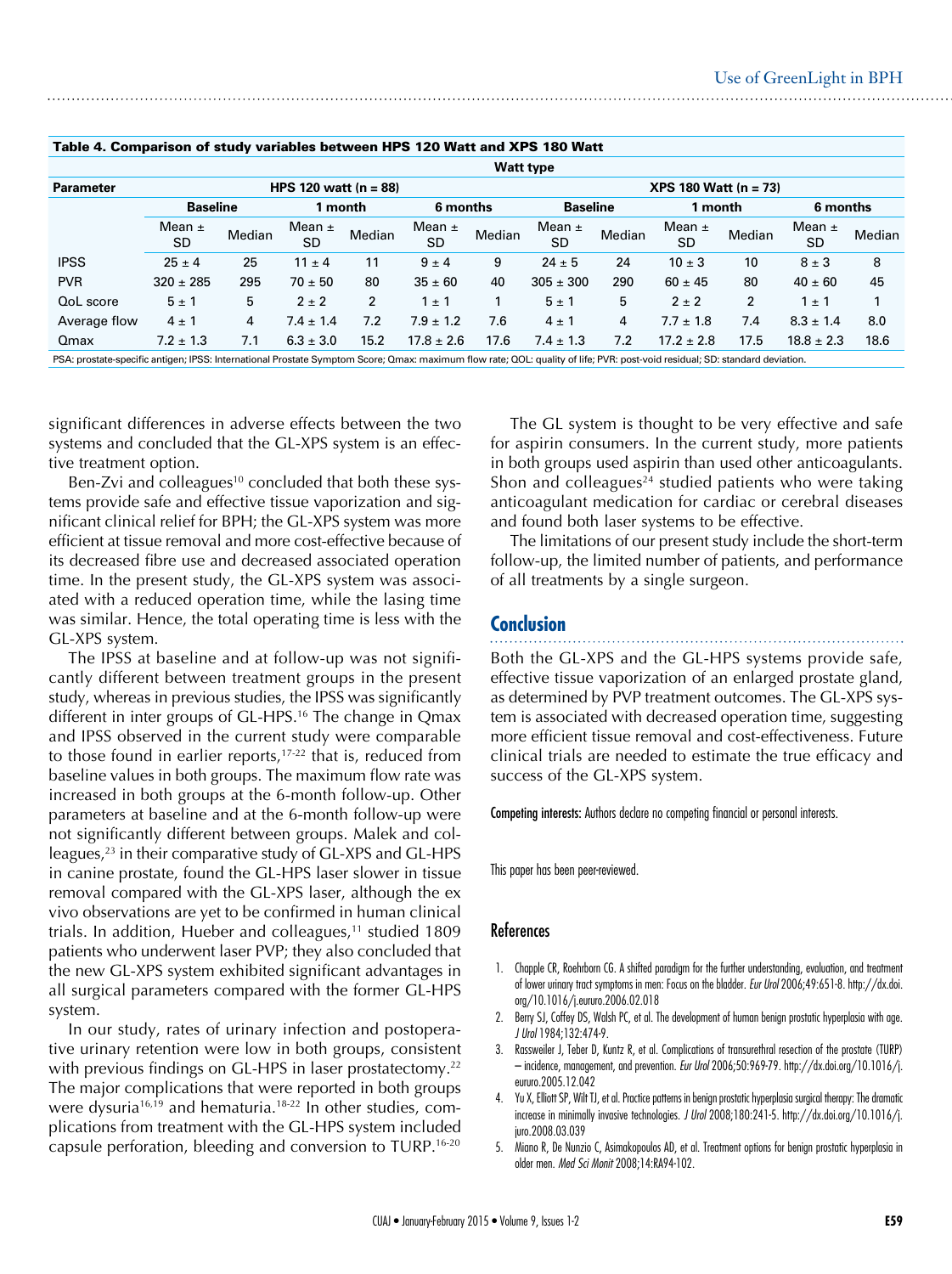| Table 4. Comparison of study variables between HPS TZU Watt and APS Tou Watt                                                                                                |                              |        |                         |                     |                         |        |                              |        |                  |                |                         |        |
|-----------------------------------------------------------------------------------------------------------------------------------------------------------------------------|------------------------------|--------|-------------------------|---------------------|-------------------------|--------|------------------------------|--------|------------------|----------------|-------------------------|--------|
|                                                                                                                                                                             | <b>Watt type</b>             |        |                         |                     |                         |        |                              |        |                  |                |                         |        |
| <b>Parameter</b>                                                                                                                                                            | <b>HPS 120 watt (n = 88)</b> |        |                         |                     |                         |        | <b>XPS 180 Watt (n = 73)</b> |        |                  |                |                         |        |
|                                                                                                                                                                             | <b>Baseline</b>              |        |                         | 6 months<br>1 month |                         |        | <b>Baseline</b>              |        | 1 month          |                | 6 months                |        |
|                                                                                                                                                                             | Mean $\pm$<br>SD             | Median | Mean $\pm$<br><b>SD</b> | Median              | Mean $\pm$<br><b>SD</b> | Median | Mean $\pm$<br>SD             | Median | Mean $\pm$<br>SD | Median         | Mean $\pm$<br><b>SD</b> | Median |
| <b>IPSS</b>                                                                                                                                                                 | $25 \pm 4$                   | 25     | $11 \pm 4$              | 11                  | $9 \pm 4$               | 9      | $24 \pm 5$                   | 24     | $10 \pm 3$       | 10             | $8 \pm 3$               | 8      |
| <b>PVR</b>                                                                                                                                                                  | $320 \pm 285$                | 295    | $70 \pm 50$             | 80                  | $35 \pm 60$             | 40     | $305 \pm 300$                | 290    | $60 \pm 45$      | 80             | $40 \pm 60$             | 45     |
| QoL score                                                                                                                                                                   | $5 \pm 1$                    | 5      | $2 \pm 2$               | $\overline{2}$      | $1 \pm 1$               |        | $5 \pm 1$                    | 5      | $2 \pm 2$        | $\overline{2}$ | $1 \pm 1$               |        |
| Average flow                                                                                                                                                                | $4 \pm 1$                    | 4      | $7.4 \pm 1.4$           | 7.2                 | $7.9 \pm 1.2$           | 7.6    | $4 \pm 1$                    | 4      | $7.7 \pm 1.8$    | 7.4            | $8.3 \pm 1.4$           | 8.0    |
| Qmax                                                                                                                                                                        | $7.2 \pm 1.3$                | 7.1    | $6.3 \pm 3.0$           | 15.2                | $17.8 \pm 2.6$          | 17.6   | $7.4 \pm 1.3$                | 7.2    | $17.2 \pm 2.8$   | 17.5           | $18.8 \pm 2.3$          | 18.6   |
| PSA: prostate-specific antigen; IPSS: International Prostate Symptom Score; Qmax: maximum flow rate; QOL: quality of life; PVR: post-void residual; SD: standard deviation. |                              |        |                         |                     |                         |        |                              |        |                  |                |                         |        |

#### Table 4. Comparison of study variables between HPS 120 Watt and XPS 180 Watt

significant differences in adverse effects between the two systems and concluded that the GL-XPS system is an effective treatment option.

Ben-Zvi and colleagues<sup>10</sup> concluded that both these systems provide safe and effective tissue vaporization and significant clinical relief for BPH; the GL-XPS system was more efficient at tissue removal and more cost-effective because of its decreased fibre use and decreased associated operation time. In the present study, the GL-XPS system was associated with a reduced operation time, while the lasing time was similar. Hence, the total operating time is less with the GL-XPS system.

The IPSS at baseline and at follow-up was not significantly different between treatment groups in the present study, whereas in previous studies, the IPSS was significantly different in inter groups of GL-HPS.<sup>16</sup> The change in Qmax and IPSS observed in the current study were comparable to those found in earlier reports,<sup>17-22</sup> that is, reduced from baseline values in both groups. The maximum flow rate was increased in both groups at the 6-month follow-up. Other parameters at baseline and at the 6-month follow-up were not significantly different between groups. Malek and colleagues,<sup>23</sup> in their comparative study of GL-XPS and GL-HPS in canine prostate, found the GL-HPS laser slower in tissue removal compared with the GL-XPS laser, although the ex vivo observations are yet to be confirmed in human clinical trials. In addition, Hueber and colleagues, $11$  studied 1809 patients who underwent laser PVP; they also concluded that the new GL-XPS system exhibited significant advantages in all surgical parameters compared with the former GL-HPS system.

In our study, rates of urinary infection and postoperative urinary retention were low in both groups, consistent with previous findings on GL-HPS in laser prostatectomy.<sup>22</sup> The major complications that were reported in both groups were dysuria<sup>16,19</sup> and hematuria.<sup>18-22</sup> In other studies, complications from treatment with the GL-HPS system included capsule perforation, bleeding and conversion to TURP.16-20

The GL system is thought to be very effective and safe for aspirin consumers. In the current study, more patients in both groups used aspirin than used other anticoagulants. Shon and colleagues<sup>24</sup> studied patients who were taking anticoagulant medication for cardiac or cerebral diseases and found both laser systems to be effective.

The limitations of our present study include the short-term follow-up, the limited number of patients, and performance of all treatments by a single surgeon.

#### **Conclusion**

Both the GL-XPS and the GL-HPS systems provide safe, effective tissue vaporization of an enlarged prostate gland, as determined by PVP treatment outcomes. The GL-XPS system is associated with decreased operation time, suggesting more efficient tissue removal and cost-effectiveness. Future clinical trials are needed to estimate the true efficacy and success of the GL-XPS system.

Competing interests: Authors declare no competing financial or personal interests.

This paper has been peer-reviewed.

#### References

- 1. Chapple CR, Roehrborn CG. A shifted paradigm for the further understanding, evaluation, and treatment of lower urinary tract symptoms in men: Focus on the bladder. *Eur Urol* 2006;49:651-8. http://dx.doi. org/10.1016/j.eururo.2006.02.018
- 2. Berry SJ, Coffey DS, Walsh PC, et al. The development of human benign prostatic hyperplasia with age. *J Urol* 1984;132:474-9.
- 3. Rassweiler J, Teber D, Kuntz R, et al. Complications of transurethral resection of the prostate (TURP) – incidence, management, and prevention. *Eur Urol* 2006;50:969-79. http://dx.doi.org/10.1016/j. eururo.2005.12.042
- 4. Yu X, Elliott SP, Wilt TJ, et al. Practice patterns in benign prostatic hyperplasia surgical therapy: The dramatic increase in minimally invasive technologies. *J Urol* 2008;180:241-5. http://dx.doi.org/10.1016/j. juro.2008.03.039
- 5. Miano R, De Nunzio C, Asimakopoulos AD, et al. Treatment options for benign prostatic hyperplasia in older men. *Med Sci Monit* 2008;14:RA94-102.